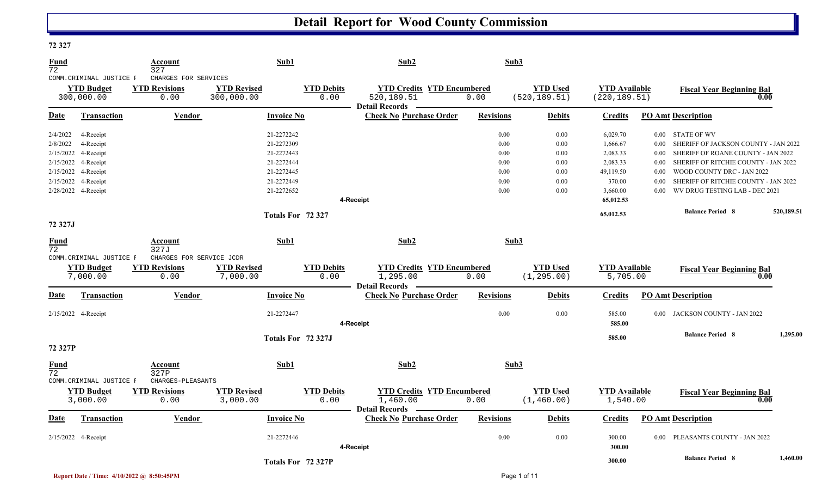#### **72 327**

| Fund                 |                                                                                             | Account                                                     | Sub1                                                               |                           | Sub2                                                                   |                                      | Sub3                                 |                                                           |                                                   |                                                                                                                                                                             |            |
|----------------------|---------------------------------------------------------------------------------------------|-------------------------------------------------------------|--------------------------------------------------------------------|---------------------------|------------------------------------------------------------------------|--------------------------------------|--------------------------------------|-----------------------------------------------------------|---------------------------------------------------|-----------------------------------------------------------------------------------------------------------------------------------------------------------------------------|------------|
| 72                   | COMM. CRIMINAL JUSTICE F<br><b>YTD Budget</b><br>300,000.00                                 | 327<br>CHARGES FOR SERVICES<br><b>YTD Revisions</b><br>0.00 | <b>YTD Revised</b><br>300,000.00                                   | <b>YTD Debits</b><br>0.00 | <b>YTD Credits YTD Encumbered</b><br>520, 189. 51<br>Detail Records —  | 0.00                                 | <b>YTD Used</b><br>(520, 189.51)     | <b>YTD Available</b><br>(220, 189.51)                     |                                                   | <b>Fiscal Year Beginning Bal</b>                                                                                                                                            | 0.00       |
| <u>Date</u>          | Transaction                                                                                 | Vendor                                                      | <b>Invoice No</b>                                                  |                           | <b>Check No Purchase Order</b>                                         | <b>Revisions</b>                     | <b>Debits</b>                        | <b>Credits</b>                                            |                                                   | <b>PO Amt Description</b>                                                                                                                                                   |            |
| 2/4/2022<br>2/8/2022 | 4-Receipt<br>4-Receipt<br>2/15/2022 4-Receipt<br>2/15/2022 4-Receipt<br>2/15/2022 4-Receipt |                                                             | 21-2272242<br>21-2272309<br>21-2272443<br>21-2272444<br>21-2272445 |                           |                                                                        | 0.00<br>0.00<br>0.00<br>0.00<br>0.00 | 0.00<br>0.00<br>0.00<br>0.00<br>0.00 | 6,029.70<br>1,666.67<br>2,083.33<br>2,083.33<br>49,119.50 | $0.00\,$<br>0.00 <sub>1</sub><br>$0.00\,$<br>0.00 | $0.00$ $\,$ STATE OF WV<br>SHERIFF OF JACKSON COUNTY - JAN 2022<br>SHERIFF OF ROANE COUNTY - JAN 2022<br>SHERIFF OF RITCHIE COUNTY - JAN 2022<br>WOOD COUNTY DRC - JAN 2022 |            |
|                      | 2/15/2022 4-Receipt<br>2/28/2022 4-Receipt                                                  |                                                             | 21-2272449<br>21-2272652                                           |                           | 4-Receipt                                                              | 0.00<br>0.00                         | 0.00<br>0.00                         | 370.00<br>3,660.00<br>65,012.53                           | 0.00<br>0.00 <sub>1</sub>                         | SHERIFF OF RITCHIE COUNTY - JAN 2022<br>WV DRUG TESTING LAB - DEC 2021                                                                                                      |            |
| 72 327J              |                                                                                             |                                                             | Totals For 72 327                                                  |                           |                                                                        |                                      |                                      | 65,012.53                                                 |                                                   | <b>Balance Period 8</b>                                                                                                                                                     | 520,189.51 |
| <b>Fund</b><br>72    |                                                                                             | Account<br>327J                                             | Sub1                                                               |                           | Sub2                                                                   |                                      | Sub3                                 |                                                           |                                                   |                                                                                                                                                                             |            |
|                      | COMM. CRIMINAL JUSTICE F<br><b>YTD Budget</b><br>7,000.00                                   | CHARGES FOR SERVICE JCDR<br><b>YTD Revisions</b><br>0.00    | <b>YTD Revised</b><br>7,000.00                                     | <b>YTD Debits</b><br>0.00 | <b>YTD Credits YTD Encumbered</b><br>1,295.00<br><b>Detail Records</b> | 0.00                                 | <b>YTD</b> Used<br>(1, 295.00)       | <b>YTD Available</b><br>5,705.00                          |                                                   | <b>Fiscal Year Beginning Bal</b>                                                                                                                                            | 0.00       |
| Date                 | <b>Transaction</b>                                                                          | <b>Vendor</b>                                               | <b>Invoice No</b>                                                  |                           | <b>Check No Purchase Order</b>                                         | <b>Revisions</b>                     | <b>Debits</b>                        | <b>Credits</b>                                            |                                                   | <b>PO Amt Description</b>                                                                                                                                                   |            |
|                      | 2/15/2022 4-Receipt                                                                         |                                                             | 21-2272447                                                         |                           | 4-Receipt                                                              | 0.00                                 | 0.00                                 | 585.00<br>585.00                                          | $0.00\,$                                          | JACKSON COUNTY - JAN 2022                                                                                                                                                   |            |
| 72 327P              |                                                                                             |                                                             | Totals For 72 327J                                                 |                           |                                                                        |                                      |                                      | 585.00                                                    |                                                   | <b>Balance Period 8</b>                                                                                                                                                     | 1,295.00   |
| Fund<br>72           | COMM.CRIMINAL JUSTICE F                                                                     | Account<br>327P<br>CHARGES-PLEASANTS                        | Sub1                                                               |                           | Sub2                                                                   |                                      | Sub3                                 |                                                           |                                                   |                                                                                                                                                                             |            |
|                      | <b>YTD Budget</b><br>3,000.00                                                               | <b>YTD Revisions</b><br>0.00                                | <b>YTD Revised</b><br>3,000.00                                     | <b>YTD Debits</b><br>0.00 | <b>YTD Credits YTD Encumbered</b><br>1,460.00<br>Detail Records –      | 0.00                                 | <b>YTD</b> Used<br>(1, 460.00)       | <b>YTD</b> Available<br>1,540.00                          |                                                   | <b>Fiscal Year Beginning Bal</b>                                                                                                                                            | 0.00       |
| Date                 | Transaction                                                                                 | <b>Vendor</b>                                               | <b>Invoice No</b>                                                  |                           | <b>Check No Purchase Order</b>                                         | <b>Revisions</b>                     | <b>Debits</b>                        | Credits                                                   |                                                   | <b>PO Amt Description</b>                                                                                                                                                   |            |
|                      | 2/15/2022 4-Receipt                                                                         |                                                             | 21-2272446                                                         |                           | 4-Receipt                                                              | 0.00                                 | 0.00                                 | 300.00<br>300.00                                          | $0.00^{\circ}$                                    | PLEASANTS COUNTY - JAN 2022                                                                                                                                                 |            |
|                      |                                                                                             |                                                             | Totals For 72 327P                                                 |                           |                                                                        |                                      |                                      | 300.00                                                    |                                                   | <b>Balance Period 8</b>                                                                                                                                                     | 1.460.00   |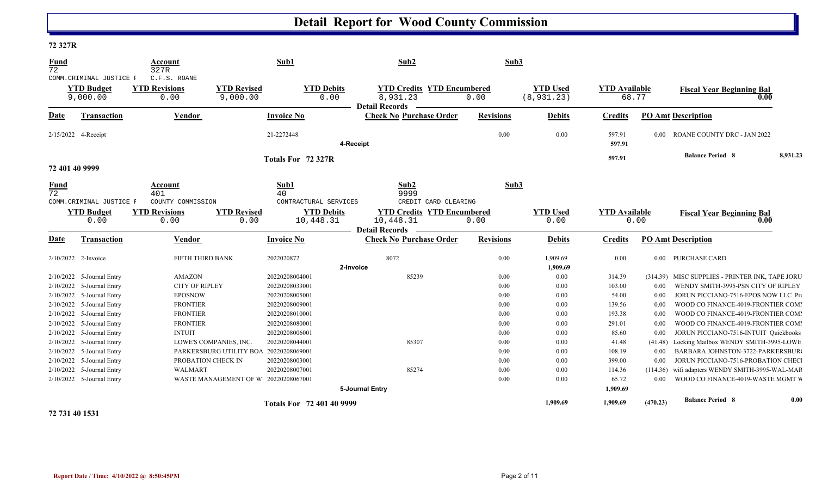#### **72 327R**

| <b>Fund</b><br>72              |                                                           | Account<br>327R                              |                                        | Sub1                                | Sub2                                                                   |                  | Sub3                           |                               |          |                                                 |          |
|--------------------------------|-----------------------------------------------------------|----------------------------------------------|----------------------------------------|-------------------------------------|------------------------------------------------------------------------|------------------|--------------------------------|-------------------------------|----------|-------------------------------------------------|----------|
|                                | COMM. CRIMINAL JUSTICE F<br><b>YTD Budget</b><br>9,000.00 | C.F.S. ROANE<br><b>YTD Revisions</b><br>0.00 | <b>YTD Revised</b><br>9,000.00         | <b>YTD Debits</b><br>0.00           | <b>YTD Credits YTD Encumbered</b><br>8,931.23<br><b>Detail Records</b> | 0.00             | <b>YTD Used</b><br>(8, 931.23) | <b>YTD</b> Available<br>68.77 |          | <b>Fiscal Year Beginning Bal</b><br>0.00        |          |
| Date                           | <b>Transaction</b>                                        | <b>Vendor</b>                                |                                        | <b>Invoice No</b>                   | <b>Check No Purchase Order</b>                                         | <b>Revisions</b> | <b>Debits</b>                  | <b>Credits</b>                |          | <b>PO Amt Description</b>                       |          |
| 2/15/2022 4-Receipt            |                                                           |                                              |                                        | 21-2272448                          | 4-Receipt                                                              | 0.00             | 0.00                           | 597.91<br>597.91              | 0.00     | ROANE COUNTY DRC - JAN 2022                     |          |
|                                |                                                           |                                              |                                        | Totals For 72 327R                  |                                                                        |                  |                                | 597.91                        |          | <b>Balance Period 8</b>                         | 8,931.23 |
| 72 401 40 9999                 |                                                           |                                              |                                        |                                     |                                                                        |                  |                                |                               |          |                                                 |          |
| <b>Fund</b><br>$\overline{72}$ | COMM. CRIMINAL JUSTICE F                                  | Account<br>401<br>COUNTY COMMISSION          |                                        | Sub1<br>40<br>CONTRACTURAL SERVICES | Sub2<br>9999<br>CREDIT CARD CLEARING                                   |                  | Sub3                           |                               |          |                                                 |          |
|                                | <b>YTD Budget</b>                                         | <b>YTD Revisions</b>                         | <b>YTD Revised</b>                     | <b>YTD Debits</b>                   | <b>YTD Credits YTD Encumbered</b>                                      |                  | <b>YTD Used</b>                | <b>YTD Available</b>          |          | <b>Fiscal Year Beginning Bal</b>                |          |
|                                | 0.00                                                      | 0.00                                         | 0.00                                   | 10,448.31                           | 10,448.31                                                              | 0.00             | 0.00                           |                               | 0.00     | 0.00                                            |          |
| Date                           | <b>Transaction</b>                                        | <b>Vendor</b>                                |                                        | <b>Invoice No</b>                   | <b>Detail Records</b><br><b>Check No Purchase Order</b>                | <b>Revisions</b> | <b>Debits</b>                  | <b>Credits</b>                |          | <b>PO Amt Description</b>                       |          |
| 2/10/2022 2-Invoice            |                                                           | FIFTH THIRD BANK                             |                                        | 2022020872                          | 8072                                                                   | $0.00\,$         | 1,909.69                       | 0.00                          | $0.00\,$ | <b>PURCHASE CARD</b>                            |          |
|                                |                                                           |                                              |                                        |                                     | 2-Invoice                                                              |                  | 1,909.69                       |                               |          |                                                 |          |
|                                | 2/10/2022 5-Journal Entry                                 | AMAZON                                       |                                        | 20220208004001                      | 85239                                                                  | $0.00\,$         | 0.00                           | 314.39                        |          | (314.39) MISC SUPPLIES - PRINTER INK, TAPE JORU |          |
|                                | 2/10/2022 5-Journal Entry                                 | <b>CITY OF RIPLEY</b>                        |                                        | 20220208033001                      |                                                                        | $0.00\,$         | 0.00                           | 103.00                        | 0.00     | WENDY SMITH-3995-PSN CITY OF RIPLEY             |          |
|                                | $2/10/2022$ 5-Journal Entry                               | <b>EPOSNOW</b>                               |                                        | 20220208005001                      |                                                                        | $0.00\,$         | 0.00                           | 54.00                         | 0.00     | JORUN PICCIANO-7516-EPOS NOW LLC Pro            |          |
|                                | 2/10/2022 5-Journal Entry                                 | <b>FRONTIER</b>                              |                                        | 20220208009001                      |                                                                        | 0.00             | 0.00                           | 139.56                        | 0.00     | WOOD CO FINANCE-4019-FRONTIER COMI              |          |
|                                | 2/10/2022 5-Journal Entry                                 | <b>FRONTIER</b>                              |                                        | 20220208010001                      |                                                                        | 0.00             | 0.00                           | 193.38                        | 0.00     | WOOD CO FINANCE-4019-FRONTIER COMI              |          |
|                                | 2/10/2022 5-Journal Entry                                 | <b>FRONTIER</b>                              |                                        | 20220208080001                      |                                                                        | 0.00             | 0.00                           | 291.01                        | 0.00     | WOOD CO FINANCE-4019-FRONTIER COMI              |          |
|                                | 2/10/2022 5-Journal Entry                                 | <b>INTUIT</b>                                |                                        | 20220208006001                      |                                                                        | 0.00             | 0.00                           | 85.60                         | 0.00     | JORUN PICCIANO-7516-INTUIT Quickbooks           |          |
|                                | 2/10/2022 5-Journal Entry                                 |                                              | LOWE'S COMPANIES, INC.                 | 20220208044001                      | 85307                                                                  | 0.00             | 0.00                           | 41.48                         | (41.48)  | Locking Mailbox WENDY SMITH-3995-LOWE           |          |
|                                | 2/10/2022 5-Journal Entry                                 |                                              | PARKERSBURG UTILITY BOA 20220208069001 |                                     |                                                                        | 0.00             | 0.00                           | 108.19                        | 0.00     | BARBARA JOHNSTON-3722-PARKERSBUR                |          |
|                                | 2/10/2022 5-Journal Entry                                 | PROBATION CHECK IN                           |                                        | 20220208003001                      |                                                                        | 0.00             | 0.00                           | 399.00                        | 0.00     | JORUN PICCIANO-7516-PROBATION CHEC              |          |
|                                | 2/10/2022 5-Journal Entry                                 | WALMART                                      |                                        | 20220208007001                      | 85274                                                                  | 0.00             | 0.00                           | 114.36                        | (114.36) | wifi adapters WENDY SMITH-3995-WAL-MAR          |          |
|                                | 2/10/2022 5-Journal Entry                                 |                                              | WASTE MANAGEMENT OF W 20220208067001   |                                     | 5-Journal Entry                                                        | $0.00\,$         | 0.00                           | 65.72<br>1,909.69             | 0.00     | WOOD CO FINANCE-4019-WASTE MGMT W               |          |
|                                |                                                           |                                              |                                        | <b>Totals For 72 401 40 9999</b>    |                                                                        |                  | 1,909.69                       | 1,909.69                      | (470.23) | <b>Balance Period 8</b>                         | 0.00     |

#### **72 731 40 1531**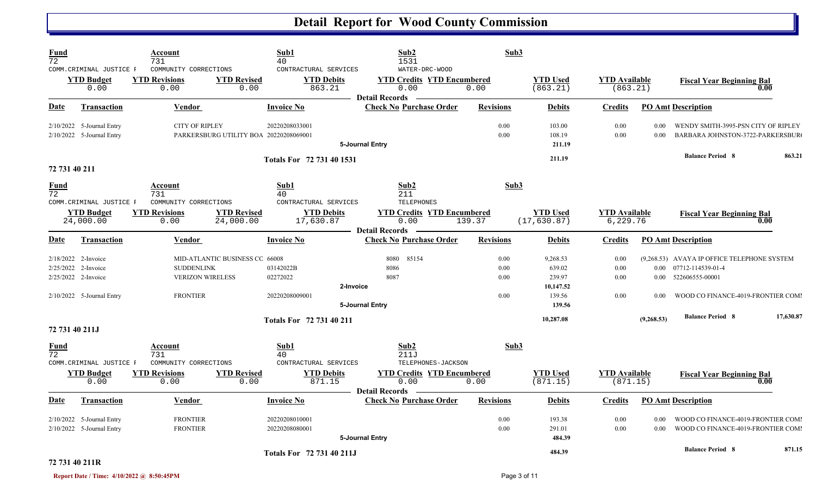| <b>Fund</b><br>$\overline{72}$ | COMM. CRIMINAL JUSTICE F                                                                       | Account<br>731<br>COMMUNITY CORRECTIONS                         |                                        | Sub1<br>40<br>CONTRACTURAL SERVICES                  | Sub2<br>1531<br>WATER-DRC-WOOD                                     | Sub3                         |                                                               |                                  |              |                                                                                                                                     |           |
|--------------------------------|------------------------------------------------------------------------------------------------|-----------------------------------------------------------------|----------------------------------------|------------------------------------------------------|--------------------------------------------------------------------|------------------------------|---------------------------------------------------------------|----------------------------------|--------------|-------------------------------------------------------------------------------------------------------------------------------------|-----------|
|                                | <b>YTD Budget</b><br>0.00                                                                      | <b>YTD Revisions</b><br>0.00                                    | <b>YTD Revised</b><br>0.00             | <b>YTD Debits</b><br>863.21                          | <b>YTD Credits YTD Encumbered</b><br>0.00<br><b>Detail Records</b> | 0.00                         | <b>YTD Used</b><br>(863.21)                                   | <b>YTD</b> Available<br>(863.21) |              | <b>Fiscal Year Beginning Bal</b><br>0.00                                                                                            |           |
| Date                           | <b>Transaction</b>                                                                             | <b>Vendor</b>                                                   |                                        | <b>Invoice No</b>                                    | <b>Check No Purchase Order</b>                                     | <b>Revisions</b>             | <b>Debits</b>                                                 | <b>Credits</b>                   |              | <b>PO Amt Description</b>                                                                                                           |           |
|                                | 2/10/2022 5-Journal Entry<br>2/10/2022 5-Journal Entry                                         | <b>CITY OF RIPLEY</b>                                           | PARKERSBURG UTILITY BOA 20220208069001 | 20220208033001                                       | 5-Journal Entry                                                    | 0.00<br>0.00                 | 103.00<br>108.19<br>211.19                                    | 0.00<br>0.00                     | 0.00<br>0.00 | WENDY SMITH-3995-PSN CITY OF RIPLEY<br>BARBARA JOHNSTON-3722-PARKERSBUR                                                             |           |
| 72 731 40 211                  |                                                                                                |                                                                 |                                        | Totals For 72 731 40 1531                            |                                                                    |                              | 211.19                                                        |                                  |              | <b>Balance Period 8</b>                                                                                                             | 863.21    |
| <b>Fund</b><br>$\overline{72}$ | COMM. CRIMINAL JUSTICE F                                                                       | Account<br>731<br>COMMUNITY CORRECTIONS                         |                                        | Sub1<br>40<br>CONTRACTURAL SERVICES                  | Sub2<br>211<br>TELEPHONES                                          | Sub3                         |                                                               |                                  |              |                                                                                                                                     |           |
|                                | <b>YTD Budget</b><br>24,000.00                                                                 | <b>YTD Revisions</b><br>0.00                                    | <b>YTD Revised</b><br>24,000.00        | <b>YTD Debits</b><br>17,630.87                       | <b>YTD Credits YTD Encumbered</b><br>0.00<br><b>Detail Records</b> | 139.37                       | <b>YTD Used</b><br>(17, 630.87)                               | <b>YTD</b> Available<br>6,229.76 |              | <b>Fiscal Year Beginning Bal</b><br>0.00                                                                                            |           |
| Date                           | <b>Transaction</b>                                                                             | <b>Vendor</b>                                                   |                                        | <b>Invoice No</b>                                    | <b>Check No Purchase Order</b>                                     | <b>Revisions</b>             | <b>Debits</b>                                                 | <b>Credits</b>                   |              | <b>PO Amt Description</b>                                                                                                           |           |
|                                | 2/18/2022 2-Invoice<br>2/25/2022 2-Invoice<br>2/25/2022 2-Invoice<br>2/10/2022 5-Journal Entry | <b>SUDDENLINK</b><br><b>VERIZON WIRELESS</b><br><b>FRONTIER</b> | MID-ATLANTIC BUSINESS CC 66008         | 03142022B<br>02272022<br>2-Invoice<br>20220208009001 | 8080<br>85154<br>8086<br>8087<br>5-Journal Entry                   | 0.00<br>0.00<br>0.00<br>0.00 | 9,268.53<br>639.02<br>239.97<br>10,147.52<br>139.56<br>139.56 | 0.00<br>0.00<br>0.00<br>0.00     | 0.00         | (9,268.53) AVAYA IP OFFICE TELEPHONE SYSTEM<br>0.00 07712-114539-01-4<br>0.00 522606555-00001<br>WOOD CO FINANCE-4019-FRONTIER COMI |           |
| 72 731 40 211J                 |                                                                                                |                                                                 |                                        | Totals For 72 731 40 211                             |                                                                    |                              | 10,287.08                                                     |                                  | (9, 268.53)  | <b>Balance Period 8</b>                                                                                                             | 17,630.87 |
| Fund<br>72                     | COMM. CRIMINAL JUSTICE F                                                                       | <b>Account</b><br>731<br>COMMUNITY CORRECTIONS                  |                                        | Sub1<br>40<br>CONTRACTURAL SERVICES                  | Sub2<br>211J<br>TELEPHONES-JACKSON                                 | Sub3                         |                                                               |                                  |              |                                                                                                                                     |           |
|                                | <b>YTD Budget</b><br>0.00                                                                      | <b>YTD Revisions</b><br>0.00                                    | <b>YTD Revised</b><br>0.00             | <b>YTD Debits</b><br>871.15                          | <b>YTD Credits YTD Encumbered</b><br>0.00<br><b>Detail Records</b> | 0.00                         | <b>YTD Used</b><br>(871.15)                                   | <b>YTD Available</b><br>(871.15) |              | <b>Fiscal Year Beginning Bal</b><br>0.00                                                                                            |           |
| Date                           | Transaction                                                                                    | Vendor                                                          |                                        | <b>Invoice No</b>                                    | <b>Check No Purchase Order</b>                                     | <b>Revisions</b>             | <b>Debits</b>                                                 | <b>Credits</b>                   |              | <b>PO Amt Description</b>                                                                                                           |           |
|                                | 2/10/2022 5-Journal Entry<br>2/10/2022 5-Journal Entry                                         | <b>FRONTIER</b><br><b>FRONTIER</b>                              |                                        | 20220208010001<br>20220208080001                     | 5-Journal Entry                                                    | 0.00<br>0.00                 | 193.38<br>291.01<br>484.39                                    | 0.00<br>0.00                     | 0.00<br>0.00 | WOOD CO FINANCE-4019-FRONTIER COMI<br>WOOD CO FINANCE-4019-FRONTIER COMI                                                            |           |
| 72 731 40 211R                 |                                                                                                |                                                                 |                                        | Totals For 72 731 40 211J                            |                                                                    |                              | 484.39                                                        |                                  |              | <b>Balance Period 8</b>                                                                                                             | 871.15    |

#### **Report Date / Time: 4/10/2022 @ 8:50:45PM** Page 3 of 11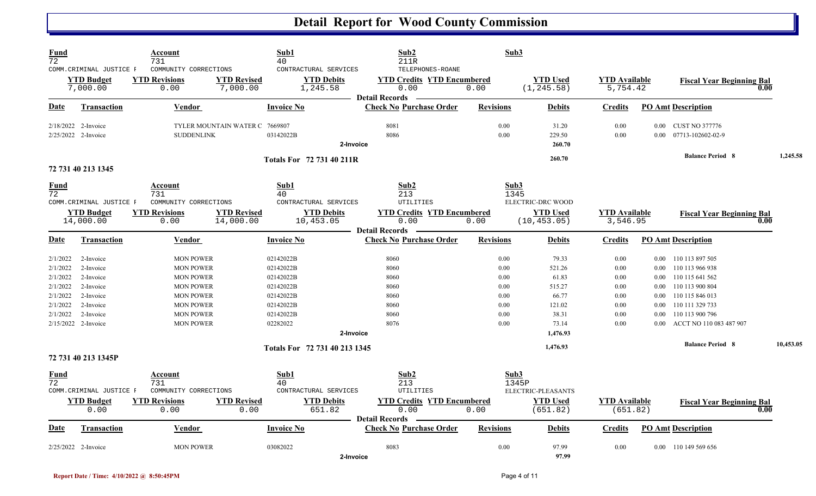| <b>Fund</b><br>$\overline{72}$ |                                                          | Account<br>731                                        |                                 | Sub1<br>40                                             | Sub2<br>211R                                                                           | Sub3             |                                 |                                  |                |                                  |      |           |
|--------------------------------|----------------------------------------------------------|-------------------------------------------------------|---------------------------------|--------------------------------------------------------|----------------------------------------------------------------------------------------|------------------|---------------------------------|----------------------------------|----------------|----------------------------------|------|-----------|
|                                | COMM.CRIMINAL JUSTICE F<br><b>YTD Budget</b><br>7,000.00 | COMMUNITY CORRECTIONS<br><b>YTD Revisions</b><br>0.00 | <b>YTD Revised</b><br>7,000.00  | CONTRACTURAL SERVICES<br><b>YTD Debits</b><br>1,245.58 | TELEPHONES-ROANE<br><b>YTD Credits YTD Encumbered</b><br>0.00<br><b>Detail Records</b> | 0.00             | <b>YTD Used</b><br>(1, 245.58)  | <b>YTD Available</b><br>5,754.42 |                | <b>Fiscal Year Beginning Bal</b> | 0.00 |           |
| Date                           | <b>Transaction</b>                                       | Vendor                                                |                                 | <b>Invoice No</b>                                      | <b>Check No Purchase Order</b>                                                         | <b>Revisions</b> | <b>Debits</b>                   | Credits                          |                | <b>PO Amt Description</b>        |      |           |
|                                | 2/18/2022 2-Invoice                                      |                                                       | TYLER MOUNTAIN WATER C 7669807  |                                                        | 8081                                                                                   | 0.00             | 31.20                           | 0.00                             |                | 0.00 CUST NO 377776              |      |           |
|                                | 2/25/2022 2-Invoice                                      | <b>SUDDENLINK</b>                                     |                                 | 03142022B<br>2-Invoice                                 | 8086                                                                                   | 0.00             | 229.50<br>260.70                | 0.00                             | $0.00^{\circ}$ | 07713-102602-02-9                |      |           |
|                                | 72 731 40 213 1345                                       |                                                       |                                 | <b>Totals For 72 731 40 211R</b>                       |                                                                                        |                  | 260.70                          |                                  |                | <b>Balance Period 8</b>          |      | 1,245.58  |
| <b>Fund</b><br>$\overline{72}$ | COMM.CRIMINAL JUSTICE F                                  | Account<br>731<br>COMMUNITY CORRECTIONS               |                                 | Sub1<br>40<br>CONTRACTURAL SERVICES                    | Sub2<br>213<br>UTILITIES                                                               | Sub3<br>1345     | ELECTRIC-DRC WOOD               |                                  |                |                                  |      |           |
|                                | <b>YTD Budget</b><br>14,000.00                           | <b>YTD Revisions</b><br>0.00                          | <b>YTD Revised</b><br>14,000.00 | <b>YTD Debits</b><br>10,453.05                         | <b>YTD Credits YTD Encumbered</b><br>0.00                                              | 0.00             | <b>YTD Used</b><br>(10, 453.05) | <b>YTD</b> Available<br>3,546.95 |                | <b>Fiscal Year Beginning Bal</b> | 0.00 |           |
| Date                           | <b>Transaction</b>                                       | Vendor                                                |                                 | <b>Invoice No</b>                                      | <b>Detail Records</b><br><b>Check No Purchase Order</b>                                | <b>Revisions</b> | <b>Debits</b>                   | <b>Credits</b>                   |                | <b>PO Amt Description</b>        |      |           |
| 2/1/2022                       | 2-Invoice                                                | <b>MON POWER</b>                                      |                                 | 02142022B                                              | 8060                                                                                   | 0.00             | 79.33                           | 0.00                             |                | 0.00 110 113 897 505             |      |           |
| 2/1/2022                       | 2-Invoice                                                | <b>MON POWER</b>                                      |                                 | 02142022B                                              | 8060                                                                                   | 0.00             | 521.26                          | 0.00                             | $0.00\,$       | 110 113 966 938                  |      |           |
| 2/1/2022                       | 2-Invoice                                                | <b>MON POWER</b>                                      |                                 | 02142022B                                              | 8060                                                                                   | 0.00             | 61.83                           | 0.00                             | $0.00\,$       | 110 115 641 562                  |      |           |
| 2/1/2022                       | 2-Invoice                                                | <b>MON POWER</b>                                      |                                 | 02142022B                                              | 8060                                                                                   | 0.00             | 515.27                          | 0.00                             | 0.00           | 110 113 900 804                  |      |           |
| 2/1/2022                       | 2-Invoice                                                | <b>MON POWER</b>                                      |                                 | 02142022B                                              | 8060                                                                                   | 0.00             | 66.77                           | 0.00                             | 0.00           | 110 115 846 013                  |      |           |
| 2/1/2022                       | 2-Invoice                                                | <b>MON POWER</b>                                      |                                 | 02142022B                                              | 8060                                                                                   | 0.00             | 121.02                          | 0.00                             | 0.00           | 110 111 329 733                  |      |           |
| 2/1/2022                       | 2-Invoice                                                | <b>MON POWER</b>                                      |                                 | 02142022B                                              | 8060                                                                                   | 0.00             | 38.31                           | 0.00                             | $0.00\,$       | 110 113 900 796                  |      |           |
|                                | 2/15/2022 2-Invoice                                      | <b>MON POWER</b>                                      |                                 | 02282022                                               | 8076                                                                                   | 0.00             | 73.14                           | 0.00                             | 0.00           | ACCT NO 110 083 487 907          |      |           |
|                                |                                                          |                                                       |                                 | 2-Invoice                                              |                                                                                        |                  | 1.476.93                        |                                  |                |                                  |      |           |
|                                | 72 731 40 213 1345P                                      |                                                       |                                 | Totals For 72 731 40 213 1345                          |                                                                                        |                  | 1,476.93                        |                                  |                | <b>Balance Period 8</b>          |      | 10,453.05 |
|                                |                                                          |                                                       |                                 |                                                        |                                                                                        |                  |                                 |                                  |                |                                  |      |           |
| <b>Fund</b>                    |                                                          | Account                                               |                                 | Sub1                                                   | Sub <sub>2</sub>                                                                       | Sub3             |                                 |                                  |                |                                  |      |           |
| $\overline{72}$                | COMM.CRIMINAL JUSTICE F                                  | 731<br>COMMUNITY CORRECTIONS                          |                                 | 40<br>CONTRACTURAL SERVICES                            | 213<br>UTILITIES                                                                       |                  | 1345P<br>ELECTRIC-PLEASANTS     |                                  |                |                                  |      |           |
|                                |                                                          | <b>YTD Revisions</b>                                  | <b>YTD Revised</b>              | <b>YTD Debits</b>                                      | <b>YTD Credits YTD Encumbered</b>                                                      |                  | <b>YTD Used</b>                 | <b>YTD Available</b>             |                |                                  |      |           |
|                                | <b>YTD Budget</b><br>0.00                                | 0.00                                                  | 0.00                            | 651.82                                                 | 0.00                                                                                   | 0.00             | (651.82)                        | (651.82)                         |                | <b>Fiscal Year Beginning Bal</b> | 0.00 |           |
|                                |                                                          |                                                       |                                 |                                                        | <b>Detail Records</b>                                                                  |                  |                                 |                                  |                |                                  |      |           |
| Date                           | Transaction                                              | Vendor                                                |                                 | <b>Invoice No</b>                                      | <b>Check No Purchase Order</b>                                                         | <b>Revisions</b> | <b>Debits</b>                   | Credits                          |                | <b>PO Amt Description</b>        |      |           |
|                                | $2/25/2022$ 2-Invoice                                    | <b>MON POWER</b>                                      |                                 | 03082022                                               | 8083                                                                                   | 0.00             | 97.99                           | 0.00                             |                | 0.00 110 149 569 656             |      |           |
|                                |                                                          |                                                       |                                 | 2-Invoice                                              |                                                                                        |                  | 97.99                           |                                  |                |                                  |      |           |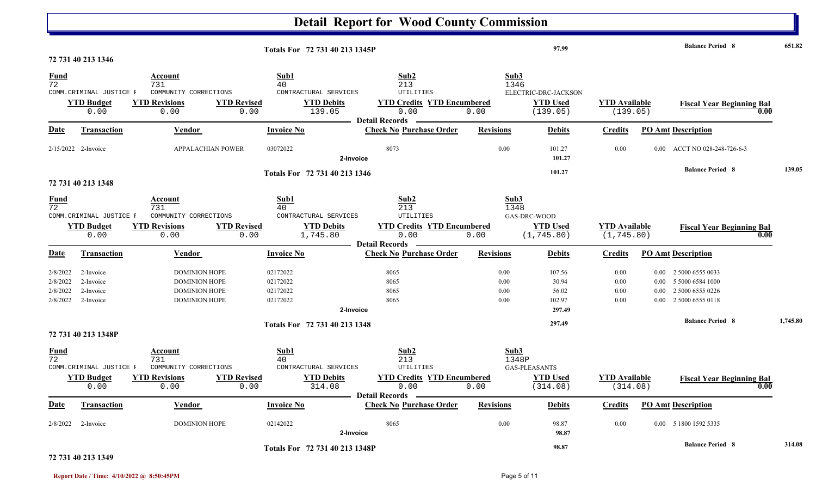|                                              |                                                                             |                                                                                                              |                                                                      | <b>Detail Report for Wood County Commission</b>                                                |                              |                                                     |                                     |                                  |                                                                                   |          |
|----------------------------------------------|-----------------------------------------------------------------------------|--------------------------------------------------------------------------------------------------------------|----------------------------------------------------------------------|------------------------------------------------------------------------------------------------|------------------------------|-----------------------------------------------------|-------------------------------------|----------------------------------|-----------------------------------------------------------------------------------|----------|
|                                              |                                                                             |                                                                                                              | Totals For 72 731 40 213 1345P                                       |                                                                                                |                              | 97.99                                               |                                     |                                  | <b>Balance Period 8</b>                                                           | 651.82   |
| $\frac{Fund}{72}$                            | 72 731 40 213 1346<br>COMM. CRIMINAL JUSTICE F<br><b>YTD Budget</b><br>0.00 | Account<br>731<br>COMMUNITY CORRECTIONS<br><b>YTD Revisions</b><br><b>YTD Revised</b><br>0.00<br>0.00        | Sub1<br>40<br>CONTRACTURAL SERVICES<br><b>YTD Debits</b><br>139.05   | Sub2<br>213<br>UTILITIES<br><b>YTD Credits YTD Encumbered</b><br>0.00<br><b>Detail Records</b> | Sub3<br>1346<br>0.00         | ELECTRIC-DRC-JACKSON<br><b>YTD Used</b><br>(139.05) | <b>YTD Available</b><br>(139.05)    |                                  | <b>Fiscal Year Beginning Bal</b>                                                  |          |
| <u>Date</u>                                  | <b>Transaction</b>                                                          | <b>Vendor</b>                                                                                                | <b>Invoice No</b>                                                    | <b>Check No Purchase Order</b>                                                                 | <b>Revisions</b>             | <b>Debits</b>                                       | <b>Credits</b>                      |                                  | <b>PO Amt Description</b>                                                         |          |
|                                              | 2/15/2022 2-Invoice                                                         | APPALACHIAN POWER                                                                                            | 03072022<br>2-Invoice                                                | 8073                                                                                           | 0.00                         | 101.27<br>101.27                                    | 0.00                                | $0.00\,$                         | ACCT NO 028-248-726-6-3                                                           |          |
|                                              | 72 731 40 213 1348                                                          |                                                                                                              | Totals For 72 731 40 213 1346                                        |                                                                                                |                              | 101.27                                              |                                     |                                  | <b>Balance Period 8</b>                                                           | 139.05   |
| <b>Fund</b><br>72                            | COMM. CRIMINAL JUSTICE F<br><b>YTD Budget</b><br>0.00                       | Account<br>731<br>COMMUNITY CORRECTIONS<br><b>YTD Revisions</b><br><b>YTD Revised</b><br>0.00<br>0.00        | Sub1<br>40<br>CONTRACTURAL SERVICES<br><b>YTD Debits</b><br>1,745.80 | Sub2<br>213<br>UTILITIES<br><b>YTD Credits YTD Encumbered</b><br>0.00                          | Sub3<br>1348<br>0.00         | GAS-DRC-WOOD<br><b>YTD Used</b><br>(1, 745.80)      | <b>YTD Available</b><br>(1, 745.80) |                                  | <b>Fiscal Year Beginning Bal</b><br>0.00                                          |          |
| <u>Date</u>                                  | <b>Transaction</b>                                                          | <b>Vendor</b>                                                                                                | <b>Invoice No</b>                                                    | <b>Detail Records</b><br><b>Check No Purchase Order</b>                                        | <b>Revisions</b>             | <b>Debits</b>                                       | <b>Credits</b>                      |                                  | <b>PO Amt Description</b>                                                         |          |
| 2/8/2022<br>2/8/2022<br>2/8/2022<br>2/8/2022 | 2-Invoice<br>2-Invoice<br>2-Invoice<br>2-Invoice                            | <b>DOMINION HOPE</b><br><b>DOMINION HOPE</b><br><b>DOMINION HOPE</b><br><b>DOMINION HOPE</b>                 | 02172022<br>02172022<br>02172022<br>02172022<br>2-Invoice            | 8065<br>8065<br>8065<br>8065                                                                   | 0.00<br>0.00<br>0.00<br>0.00 | 107.56<br>30.94<br>56.02<br>102.97<br>297.49        | 0.00<br>0.00<br>0.00<br>0.00        | $0.00\,$<br>$0.00\,$<br>$0.00\,$ | 2 5000 6555 0033<br>5 5000 6584 1000<br>2 5000 6555 0226<br>0.00 2 5000 6555 0118 |          |
|                                              | 72 731 40 213 1348P                                                         |                                                                                                              | Totals For 72 731 40 213 1348                                        |                                                                                                |                              | 297.49                                              |                                     |                                  | <b>Balance Period 8</b>                                                           | 1,745.80 |
| $\frac{Fund}{72}$                            | COMM. CRIMINAL JUSTICE F<br><b>YTD Budget</b><br>0.00                       | <b>Account</b><br>731<br>COMMUNITY CORRECTIONS<br><b>YTD Revisions</b><br><b>YTD Revised</b><br>0.00<br>0.00 | Sub1<br>40<br>CONTRACTURAL SERVICES<br><b>YTD Debits</b><br>314.08   | Sub2<br>213<br>UTILITIES<br><b>YTD Credits YTD Encumbered</b><br>0.00                          | Sub3<br>1348P<br>0.00        | GAS-PLEASANTS<br><b>YTD Used</b><br>(314.08)        | <b>YTD Available</b><br>(314.08)    |                                  | <b>Fiscal Year Beginning Bal</b><br>$\overline{0.00}$                             |          |
| <b>Date</b>                                  | <b>Transaction</b>                                                          | <b>Vendor</b>                                                                                                | <b>Invoice No</b>                                                    | <b>Detail Records</b><br><b>Check No Purchase Order</b>                                        | <b>Revisions</b>             | <b>Debits</b>                                       | <b>Credits</b>                      |                                  | <b>PO Amt Description</b>                                                         |          |
|                                              | $2/8/2022$ 2-Invoice                                                        | <b>DOMINION HOPE</b>                                                                                         | 02142022<br>2-Invoice                                                | 8065                                                                                           | $0.00\,$                     | 98.87<br>98.87                                      | 0.00                                |                                  | 0.00 5 1800 1592 5335                                                             |          |
|                                              |                                                                             |                                                                                                              | Totals For 72 731 40 213 1348P                                       |                                                                                                |                              | 98.87                                               |                                     |                                  | <b>Balance Period 8</b>                                                           | 314.08   |

#### **72 731 40 213 1349**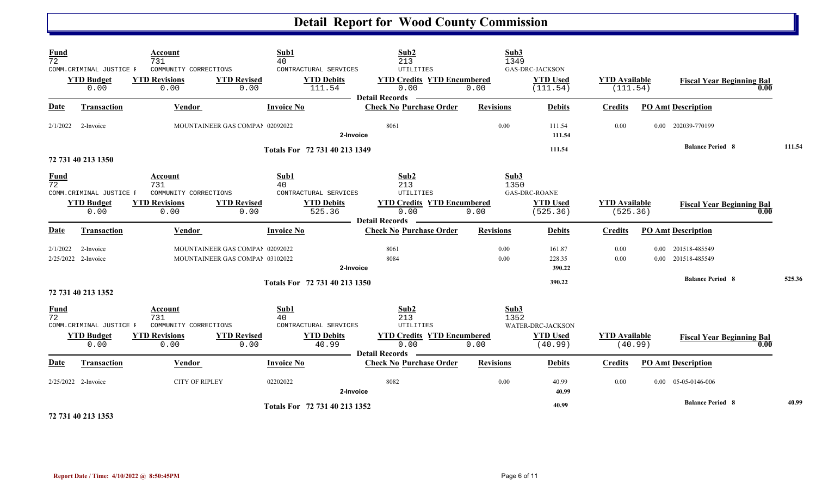| <b>Fund</b><br>$\overline{72}$ | COMM. CRIMINAL JUSTICE F         | Account<br>731<br>COMMUNITY CORRECTIONS | Sub1<br>40                                                         | CONTRACTURAL SERVICES         | Sub2<br>213<br>UTILITIES                                           | Sub3<br>1349     | <b>GAS-DRC-JACKSON</b>      |                                  |      |                                          |        |
|--------------------------------|----------------------------------|-----------------------------------------|--------------------------------------------------------------------|-------------------------------|--------------------------------------------------------------------|------------------|-----------------------------|----------------------------------|------|------------------------------------------|--------|
|                                | <b>YTD Budget</b><br>0.00        | <b>YTD Revisions</b><br>0.00            | <b>YTD Revised</b><br>0.00                                         | <b>YTD Debits</b><br>111.54   | <b>YTD Credits YTD Encumbered</b><br>0.00<br><b>Detail Records</b> | 0.00             | <b>YTD Used</b><br>(111.54) | <b>YTD</b> Available<br>(111.54) |      | <b>Fiscal Year Beginning Bal</b><br>0.00 |        |
| Date                           | <b>Transaction</b>               | <b>Vendor</b>                           | <b>Invoice No</b>                                                  |                               | <b>Check No Purchase Order</b>                                     | <b>Revisions</b> | <b>Debits</b>               | <b>Credits</b>                   |      | <b>PO Amt Description</b>                |        |
|                                | $2/1/2022$ 2-Invoice             |                                         | MOUNTAINEER GAS COMPAI 02092022                                    | 2-Invoice                     | 8061                                                               | 0.00             | 111.54<br>111.54            | 0.00                             |      | 0.00 202039-770199                       |        |
|                                |                                  |                                         |                                                                    | Totals For 72 731 40 213 1349 |                                                                    |                  | 111.54                      |                                  |      | <b>Balance Period 8</b>                  | 111.54 |
|                                | 72 731 40 213 1350               |                                         |                                                                    |                               |                                                                    |                  |                             |                                  |      |                                          |        |
| <b>Fund</b><br>$\overline{72}$ | COMM. CRIMINAL JUSTICE F         | Account<br>731<br>COMMUNITY CORRECTIONS | Sub1<br>40                                                         | CONTRACTURAL SERVICES         | Sub2<br>213<br>UTILITIES                                           | Sub3<br>1350     | <b>GAS-DRC-ROANE</b>        |                                  |      |                                          |        |
|                                | <b>YTD</b> Budget<br>0.00        | <b>YTD Revisions</b><br>0.00            | <b>YTD Revised</b><br>0.00                                         | <b>YTD Debits</b><br>525.36   | <b>YTD Credits YTD Encumbered</b><br>0.00<br><b>Detail Records</b> | 0.00             | <b>YTD Used</b><br>(525.36) | <b>YTD Available</b><br>(525.36) |      | <b>Fiscal Year Beginning Bal</b><br>0.00 |        |
| <b>Date</b>                    | <b>Transaction</b>               | Vendor                                  | <b>Invoice No</b>                                                  |                               | <b>Check No Purchase Order</b>                                     | <b>Revisions</b> | <b>Debits</b>               | <b>Credits</b>                   |      | <b>PO Amt Description</b>                |        |
| 2/1/2022                       | 2-Invoice<br>2/25/2022 2-Invoice |                                         | MOUNTAINEER GAS COMPAI 02092022<br>MOUNTAINEER GAS COMPAI 03102022 | 2-Invoice                     | 8061<br>8084                                                       | 0.00<br>0.00     | 161.87<br>228.35<br>390.22  | 0.00<br>0.00                     | 0.00 | 201518-485549<br>0.00 201518-485549      |        |
|                                | 72 731 40 213 1352               |                                         |                                                                    | Totals For 72 731 40 213 1350 |                                                                    |                  | 390.22                      |                                  |      | <b>Balance Period 8</b>                  | 525.36 |
| <u>Fund</u><br>$\overline{72}$ | COMM.CRIMINAL JUSTICE F          | Account<br>731<br>COMMUNITY CORRECTIONS | Sub1<br>40                                                         | CONTRACTURAL SERVICES         | Sub2<br>213<br><b>UTILITIES</b>                                    | Sub3<br>1352     | WATER-DRC-JACKSON           |                                  |      |                                          |        |
|                                | <b>YTD Budget</b><br>0.00        | <b>YTD Revisions</b><br>0.00            | <b>YTD Revised</b><br>0.00                                         | <b>YTD Debits</b><br>40.99    | <b>YTD Credits YTD Encumbered</b><br>0.00<br><b>Detail Records</b> | 0.00             | <b>YTD Used</b><br>(40.99)  | <b>YTD Available</b><br>(40.99)  |      | <b>Fiscal Year Beginning Bal</b><br>0.00 |        |
| Date                           | <b>Transaction</b>               | Vendor                                  | <b>Invoice No</b>                                                  |                               | <b>Check No Purchase Order</b>                                     | <b>Revisions</b> | <b>Debits</b>               | <b>Credits</b>                   |      | <b>PO Amt Description</b>                |        |
|                                | 2/25/2022 2-Invoice              | <b>CITY OF RIPLEY</b>                   | 02202022                                                           | 2-Invoice                     | 8082                                                               | 0.00             | 40.99<br>40.99              | 0.00                             |      | $0.00 \quad 05-05-0146-006$              |        |
|                                | 72 731 40 213 1353               |                                         |                                                                    | Totals For 72 731 40 213 1352 |                                                                    |                  | 40.99                       |                                  |      | <b>Balance Period 8</b>                  | 40.99  |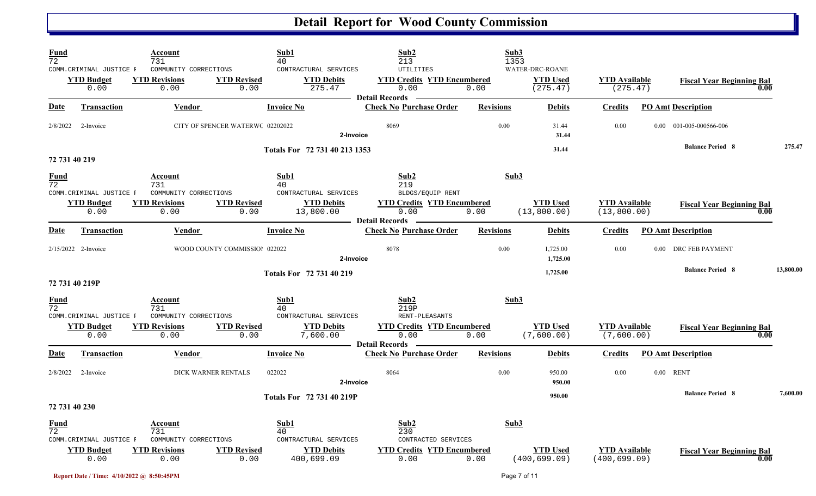| $\frac{Fund}{72}$              | COMM.CRIMINAL JUSTICE F<br><b>YTD Budget</b><br>0.00 | Account<br>731<br>COMMUNITY CORRECTIONS<br><b>YTD Revisions</b><br>0.00 | Sub1<br>40<br>CONTRACTURAL SERVICES<br><b>YTD Revised</b><br>0.00               | Sub2<br>213<br>UTILITIES<br><b>YTD Debits</b><br><b>YTD Credits YTD Encumbered</b><br>275.47<br>0.00<br><b>Detail Records</b> | Sub3<br>1353<br>0.00 | WATER-DRC-ROANE<br><b>YTD Used</b><br>(275.47) | <b>YTD Available</b><br>(275.47)      |                           | <b>Fiscal Year Beginning Bal</b><br>0.00              |           |
|--------------------------------|------------------------------------------------------|-------------------------------------------------------------------------|---------------------------------------------------------------------------------|-------------------------------------------------------------------------------------------------------------------------------|----------------------|------------------------------------------------|---------------------------------------|---------------------------|-------------------------------------------------------|-----------|
| <b>Date</b>                    | <b>Transaction</b>                                   | Vendor                                                                  | <b>Invoice No</b>                                                               | <b>Check No Purchase Order</b>                                                                                                | <b>Revisions</b>     | <b>Debits</b>                                  | <b>Credits</b>                        | <b>PO Amt Description</b> |                                                       |           |
| 2/8/2022                       | 2-Invoice                                            |                                                                         | CITY OF SPENCER WATERWC 02202022                                                | 8069<br>2-Invoice                                                                                                             | 0.00                 | 31.44<br>31.44                                 | 0.00                                  |                           | 0.00 001-005-000566-006                               |           |
|                                | 72 731 40 219                                        |                                                                         | Totals For 72 731 40 213 1353                                                   |                                                                                                                               |                      | 31.44                                          |                                       |                           | <b>Balance Period 8</b>                               | 275.47    |
| $\frac{Fund}{72}$              | COMM.CRIMINAL JUSTICE F<br><b>YTD Budget</b><br>0.00 | Account<br>731<br>COMMUNITY CORRECTIONS<br><b>YTD Revisions</b><br>0.00 | Sub1<br>40<br>CONTRACTURAL SERVICES<br><b>YTD Revised</b><br>13,800.00<br>0.00  | Sub <sub>2</sub><br>219<br>BLDGS/EQUIP RENT<br><b>YTD Credits YTD Encumbered</b><br><b>YTD Debits</b><br>0.00                 | Sub3<br>0.00         | <b>YTD Used</b><br>(13, 800.00)                | <b>YTD Available</b><br>(13, 800.00)  |                           | <b>Fiscal Year Beginning Bal</b><br>0.00              |           |
| <b>Date</b>                    | Transaction                                          | Vendor                                                                  | <b>Invoice No</b>                                                               | <b>Example 2</b> Detail Records<br><b>Check No Purchase Order</b>                                                             | <b>Revisions</b>     | <b>Debits</b>                                  | <b>Credits</b>                        | <b>PO Amt Description</b> |                                                       |           |
|                                | 2/15/2022 2-Invoice                                  |                                                                         | WOOD COUNTY COMMISSIO! 022022                                                   | 8078<br>2-Invoice                                                                                                             | 0.00                 | 1,725.00<br>1,725.00                           | 0.00                                  |                           | 0.00 DRC FEB PAYMENT                                  |           |
|                                | 72 731 40 219P                                       |                                                                         | Totals For 72 731 40 219                                                        |                                                                                                                               |                      | 1,725.00                                       |                                       |                           | <b>Balance Period 8</b>                               | 13,800.00 |
| $\frac{Fund}{72}$              | COMM.CRIMINAL JUSTICE F                              | Account<br>731<br>COMMUNITY CORRECTIONS                                 | Sub1<br>40<br>CONTRACTURAL SERVICES                                             | Sub2<br>219P<br>RENT-PLEASANTS                                                                                                | Sub3                 |                                                |                                       |                           |                                                       |           |
|                                | <b>YTD Budget</b><br>0.00                            | <b>YTD Revisions</b><br>0.00                                            | <b>YTD Revised</b><br>7,600.00<br>0.00                                          | <b>YTD Debits</b><br><b>YTD Credits YTD Encumbered</b><br>0.00<br>Detail Records —————                                        | 0.00                 | <b>YTD Used</b><br>(7,600.00)                  | <b>YTD Available</b><br>(7,600.00)    |                           | <b>Fiscal Year Beginning Bal</b><br>$\overline{0.00}$ |           |
| <b>Date</b>                    | <b>Transaction</b>                                   | <b>Vendor</b>                                                           | <b>Invoice No</b>                                                               | <b>Check No Purchase Order</b>                                                                                                | <b>Revisions</b>     | <b>Debits</b>                                  | <b>Credits</b>                        | <b>PO Amt Description</b> |                                                       |           |
| 2/8/2022                       | 2-Invoice                                            | DICK WARNER RENTALS                                                     | 022022                                                                          | 8064<br>2-Invoice                                                                                                             | 0.00                 | 950.00<br>950.00                               | 0.00                                  | $0.00$ RENT               |                                                       |           |
|                                | 72 731 40 230                                        |                                                                         | Totals For 72 731 40 219P                                                       |                                                                                                                               |                      | 950.00                                         |                                       |                           | <b>Balance Period 8</b>                               | 7,600.00  |
| <b>Fund</b><br>$\overline{72}$ | COMM.CRIMINAL JUSTICE F<br><b>YTD Budget</b><br>0.00 | Account<br>731<br>COMMUNITY CORRECTIONS<br><b>YTD Revisions</b><br>0.00 | Sub1<br>40<br>CONTRACTURAL SERVICES<br><b>YTD Revised</b><br>400,699.09<br>0.00 | Sub2<br>230<br>CONTRACTED SERVICES<br><b>YTD Debits</b><br><b>YTD Credits YTD Encumbered</b><br>0.00                          | Sub3<br>0.00         | <b>YTD Used</b><br>(400, 699.09)               | <b>YTD Available</b><br>(400, 699.09) |                           | <b>Fiscal Year Beginning Bal</b><br>0.00              |           |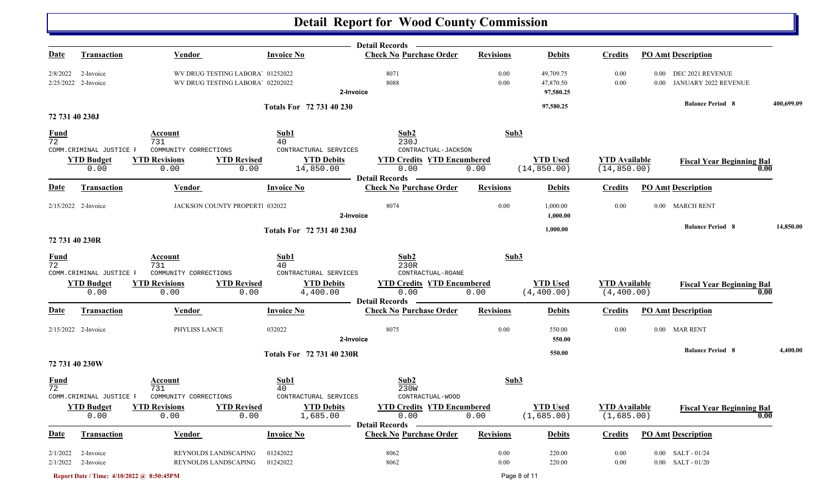|                                |                                    |                                                                      |                                     | Detail Records —                                                   |                  |                                     |                                      |                                                    |            |
|--------------------------------|------------------------------------|----------------------------------------------------------------------|-------------------------------------|--------------------------------------------------------------------|------------------|-------------------------------------|--------------------------------------|----------------------------------------------------|------------|
| Date                           | <b>Transaction</b>                 | <b>Vendor</b>                                                        | <b>Invoice No</b>                   | <b>Check No Purchase Order</b>                                     | <b>Revisions</b> | <b>Debits</b>                       | <b>Credits</b>                       | <b>PO Amt Description</b>                          |            |
| 2/8/2022                       | 2-Invoice<br>$2/25/2022$ 2-Invoice | WV DRUG TESTING LABORA' 01252022<br>WV DRUG TESTING LABORA' 02202022 |                                     | 8071<br>8088<br>2-Invoice                                          | 0.00<br>0.00     | 49,709.75<br>47,870.50<br>97,580.25 | 0.00<br>0.00                         | 0.00 DEC 2021 REVENUE<br>0.00 JANUARY 2022 REVENUE |            |
|                                |                                    |                                                                      | Totals For 72 731 40 230            |                                                                    |                  | 97,580.25                           |                                      | <b>Balance Period 8</b>                            | 400,699.09 |
| 72 731 40 230J                 |                                    |                                                                      |                                     |                                                                    |                  |                                     |                                      |                                                    |            |
| <b>Fund</b><br>72              | COMM.CRIMINAL JUSTICE F            | Account<br>731<br>COMMUNITY CORRECTIONS                              | Sub1<br>40<br>CONTRACTURAL SERVICES | Sub2<br>230J<br>CONTRACTUAL-JACKSON                                | Sub3             |                                     |                                      |                                                    |            |
|                                | <b>YTD Budget</b><br>0.00          | <b>YTD Revised</b><br><b>YTD Revisions</b><br>0.00<br>0.00           | <b>YTD Debits</b><br>14,850.00      | <b>YTD Credits YTD Encumbered</b><br>0.00<br><b>Detail Records</b> | 0.00             | <b>YTD</b> Used<br>(14, 850.00)     | <b>YTD Available</b><br>(14, 850.00) | <b>Fiscal Year Beginning Bal</b>                   | 0.00       |
| <b>Date</b>                    | <b>Transaction</b>                 | <b>Vendor</b>                                                        | <b>Invoice No</b>                   | <b>Check No Purchase Order</b>                                     | <b>Revisions</b> | <b>Debits</b>                       | <b>Credits</b>                       | <b>PO_Amt</b> Description                          |            |
|                                | 2/15/2022 2-Invoice                | JACKSON COUNTY PROPERT 032022                                        |                                     | 8074<br>2-Invoice                                                  | 0.00             | 1,000.00<br>1,000.00                | 0.00                                 | 0.00 MARCH RENT                                    |            |
|                                |                                    |                                                                      | Totals For 72 731 40 230J           |                                                                    |                  | 1,000.00                            |                                      | <b>Balance Period 8</b>                            | 14,850.00  |
| 72 731 40 230R                 |                                    |                                                                      |                                     |                                                                    |                  |                                     |                                      |                                                    |            |
| <u>Fund</u><br>$\overline{72}$ | COMM. CRIMINAL JUSTICE F           | Account<br>731<br>COMMUNITY CORRECTIONS                              | Sub1<br>40<br>CONTRACTURAL SERVICES | Sub2<br>230R<br>CONTRACTUAL-ROANE                                  | Sub3             |                                     |                                      |                                                    |            |
|                                | <b>YTD Budget</b><br>0.00          | <b>YTD Revisions</b><br><b>YTD Revised</b><br>0.00<br>0.00           | <b>YTD Debits</b><br>4,400.00       | <b>YTD Credits YTD Encumbered</b><br>0.00<br><b>Detail Records</b> | 0.00             | <b>YTD Used</b><br>(4, 400.00)      | <b>YTD Available</b><br>(4, 400.00)  | <b>Fiscal Year Beginning Bal</b>                   | 0.00       |
| <b>Date</b>                    | Transaction                        | Vendor                                                               | <b>Invoice No</b>                   | <b>Check No Purchase Order</b>                                     | <b>Revisions</b> | <b>Debits</b>                       | <b>Credits</b>                       | <b>PO Amt Description</b>                          |            |
|                                | 2/15/2022 2-Invoice                | PHYLISS LANCE                                                        | 032022                              | 8075<br>2-Invoice                                                  | 0.00             | 550.00<br>550.00                    | 0.00                                 | 0.00 MAR RENT                                      |            |
| 72 731 40 230W                 |                                    |                                                                      | Totals For 72 731 40 230R           |                                                                    |                  | 550.00                              |                                      | <b>Balance Period 8</b>                            | 4,400.00   |
| $\frac{Fund}{72}$              | COMM.CRIMINAL JUSTICE F            | Account<br>731<br>COMMUNITY CORRECTIONS                              | Sub1<br>40<br>CONTRACTURAL SERVICES | Sub2<br>230W<br>CONTRACTUAL-WOOD                                   | Sub3             |                                     |                                      |                                                    |            |
|                                | <b>YTD</b> Budget<br>0.00          | <b>YTD Revisions</b><br><b>YTD Revised</b><br>0.00<br>0.00           | <b>YTD Debits</b><br>1,685.00       | <b>YTD Credits YTD Encumbered</b><br>0.00                          | 0.00             | <b>YTD Used</b><br>(1,685.00)       | <b>YTD</b> Available<br>(1,685.00)   | <b>Fiscal Year Beginning Bal</b>                   | 0.00       |
| <u>Date</u>                    | <b>Transaction</b>                 | <b>Vendor</b>                                                        | <b>Invoice No</b>                   | <b>Detail Records</b><br><b>Check No Purchase Order</b>            | <b>Revisions</b> | <b>Debits</b>                       | <b>Credits</b>                       | <b>PO Amt Description</b>                          |            |
| 2/1/2022                       | 2-Invoice<br>$2/1/2022$ 2-Invoice  | REYNOLDS LANDSCAPING<br>REYNOLDS LANDSCAPING                         | 01242022<br>01242022                | 8062<br>8062                                                       | 0.00<br>0.00     | 220.00<br>220.00                    | 0.00<br>$0.00\,$                     | $0.00$ SALT - $01/24$<br>$0.00$ SALT - $01/20$     |            |

**Report Date / Time: 4/10/2022 @ 8:50:45PM** Page 8 of 11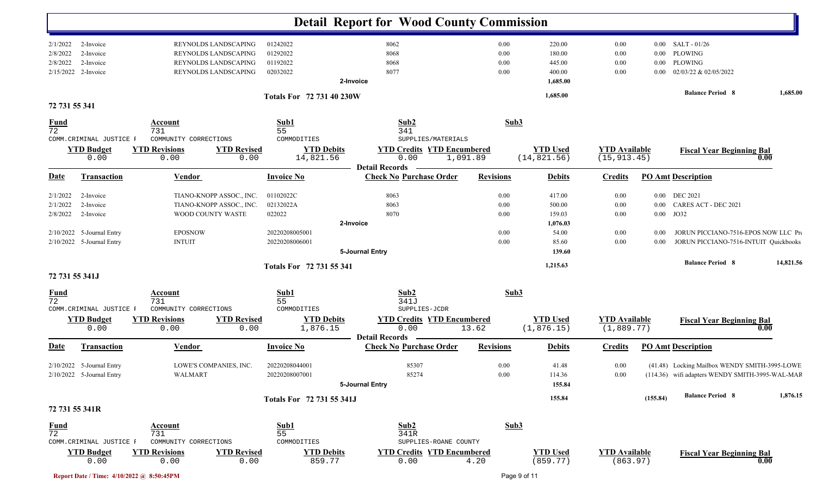|                                |                           |                                         |                            |                                  | <b>Detail Report for Wood County Commission</b>                    |                  |                                 |                                      |          |                                                 |           |
|--------------------------------|---------------------------|-----------------------------------------|----------------------------|----------------------------------|--------------------------------------------------------------------|------------------|---------------------------------|--------------------------------------|----------|-------------------------------------------------|-----------|
| 2/1/2022                       | 2-Invoice                 |                                         | REYNOLDS LANDSCAPING       | 01242022                         | 8062                                                               | 0.00             | 220.00                          | 0.00                                 | $0.00\,$ | SALT - 01/26                                    |           |
| 2/8/2022                       | 2-Invoice                 |                                         | REYNOLDS LANDSCAPING       | 01292022                         | 8068                                                               | 0.00             | 180.00                          | 0.00                                 | $0.00\,$ | PLOWING                                         |           |
| 2/8/2022                       | 2-Invoice                 |                                         | REYNOLDS LANDSCAPING       | 01192022                         | 8068                                                               | 0.00             | 445.00                          | 0.00                                 | $0.00\,$ | PLOWING                                         |           |
|                                | 2/15/2022 2-Invoice       |                                         | REYNOLDS LANDSCAPING       | 02032022                         | 8077<br>2-Invoice                                                  | 0.00             | 400.00<br>1,685.00              | 0.00                                 | $0.00\,$ | 02/03/22 & 02/05/2022                           |           |
|                                |                           |                                         |                            | <b>Totals For 72 731 40 230W</b> |                                                                    |                  | 1,685.00                        |                                      |          | <b>Balance Period 8</b>                         | 1,685.00  |
| 72 731 55 341                  |                           |                                         |                            |                                  |                                                                    |                  |                                 |                                      |          |                                                 |           |
| <u>Fund</u><br>$\overline{72}$ |                           | <b>Account</b><br>731                   |                            | Sub1<br>55                       | Sub2<br>341                                                        | Sub3             |                                 |                                      |          |                                                 |           |
|                                | COMM. CRIMINAL JUSTICE F  | COMMUNITY CORRECTIONS                   |                            | COMMODITIES                      | SUPPLIES/MATERIALS                                                 |                  |                                 |                                      |          |                                                 |           |
|                                | <b>YTD Budget</b><br>0.00 | <b>YTD Revisions</b><br>0.00            | <b>YTD Revised</b><br>0.00 | <b>YTD Debits</b><br>14,821.56   | <b>YTD Credits YTD Encumbered</b><br>0.00                          | 1,091.89         | <b>YTD Used</b><br>(14, 821.56) | <b>YTD Available</b><br>(15, 913.45) |          | <b>Fiscal Year Beginning Bal</b>                | 0.00      |
| <u>Date</u>                    |                           |                                         |                            |                                  | <b>Detail Records</b><br><b>Check No Purchase Order</b>            |                  |                                 |                                      |          |                                                 |           |
|                                | <b>Transaction</b>        | Vendor                                  |                            | <b>Invoice No</b>                |                                                                    | <b>Revisions</b> | <b>Debits</b>                   | <b>Credits</b>                       |          | <b>PO Amt Description</b>                       |           |
| 2/1/2022                       | 2-Invoice                 |                                         | TIANO-KNOPP ASSOC., INC.   | 01102022C                        | 8063                                                               | 0.00             | 417.00                          | 0.00                                 |          | 0.00 DEC 2021                                   |           |
| 2/1/2022                       | 2-Invoice                 |                                         | TIANO-KNOPP ASSOC., INC.   | 02132022A                        | 8063                                                               | 0.00             | 500.00                          | 0.00                                 | $0.00\,$ | CARES ACT - DEC 2021                            |           |
| 2/8/2022                       | 2-Invoice                 | WOOD COUNTY WASTE                       |                            | 022022                           | 8070                                                               | 0.00             | 159.03                          | 0.00                                 | $0.00\,$ | JO32                                            |           |
|                                |                           |                                         |                            |                                  | 2-Invoice                                                          |                  | 1,076.03                        |                                      |          |                                                 |           |
|                                | 2/10/2022 5-Journal Entry | <b>EPOSNOW</b>                          |                            | 20220208005001                   |                                                                    | 0.00             | 54.00                           | 0.00                                 | $0.00\,$ | JORUN PICCIANO-7516-EPOS NOW LLC Pro            |           |
|                                | 2/10/2022 5-Journal Entry | <b>INTUIT</b>                           |                            | 20220208006001                   |                                                                    | 0.00             | 85.60                           | 0.00                                 | 0.00     | JORUN PICCIANO-7516-INTUIT Quickbooks           |           |
|                                |                           |                                         |                            |                                  | 5-Journal Entry                                                    |                  | 139.60                          |                                      |          |                                                 |           |
|                                |                           |                                         |                            | Totals For 72 731 55 341         |                                                                    |                  | 1,215.63                        |                                      |          | <b>Balance Period 8</b>                         | 14,821.56 |
| 72 731 55 341J                 |                           |                                         |                            |                                  |                                                                    |                  |                                 |                                      |          |                                                 |           |
| $\frac{Fund}{72}$              | COMM.CRIMINAL JUSTICE F   | Account<br>731<br>COMMUNITY CORRECTIONS |                            | Sub1<br>55<br>COMMODITIES        | Sub2<br>341J<br>SUPPLIES-JCDR                                      | Sub3             |                                 |                                      |          |                                                 |           |
|                                | <b>YTD Budget</b><br>0.00 | <b>YTD Revisions</b><br>0.00            | <b>YTD Revised</b><br>0.00 | <b>YTD Debits</b><br>1,876.15    | <b>YTD Credits YTD Encumbered</b><br>0.00<br><b>Detail Records</b> | 13.62            | <b>YTD Used</b><br>(1, 876.15)  | <b>YTD Available</b><br>(1,889.77)   |          | <b>Fiscal Year Beginning Bal</b>                | 0.00      |
| Date                           | Transaction               | <b>Vendor</b>                           |                            | <b>Invoice No</b>                | <b>Check No Purchase Order</b>                                     | <b>Revisions</b> | <b>Debits</b>                   | <b>Credits</b>                       |          | <b>PO Amt Description</b>                       |           |
|                                | 2/10/2022 5-Journal Entry |                                         | LOWE'S COMPANIES, INC.     | 20220208044001                   | 85307                                                              | 0.00             | 41.48                           | 0.00                                 |          | (41.48) Locking Mailbox WENDY SMITH-3995-LOWE   |           |
|                                | 2/10/2022 5-Journal Entry | WALMART                                 |                            | 20220208007001                   | 85274                                                              | $0.00\,$         | 114.36                          | 0.00                                 |          | (114.36) wifi adapters WENDY SMITH-3995-WAL-MAR |           |
|                                |                           |                                         |                            |                                  | 5-Journal Entry                                                    |                  | 155.84                          |                                      |          |                                                 |           |
|                                |                           |                                         |                            | Totals For 72 731 55 341J        |                                                                    |                  | 155.84                          |                                      | (155.84) | <b>Balance Period 8</b>                         | 1,876.15  |
|                                | 72 731 55 341R            |                                         |                            |                                  |                                                                    |                  |                                 |                                      |          |                                                 |           |
| <b>Fund</b>                    |                           | Account                                 |                            | Sub1                             | Sub2                                                               | Sub3             |                                 |                                      |          |                                                 |           |
| $\overline{72}$                |                           | 731                                     |                            | 55                               | 341R                                                               |                  |                                 |                                      |          |                                                 |           |
|                                | COMM.CRIMINAL JUSTICE F   | COMMUNITY CORRECTIONS                   |                            | COMMODITIES                      | SUPPLIES-ROANE COUNTY                                              |                  |                                 |                                      |          |                                                 |           |
|                                | <b>YTD Budget</b><br>0.00 | <b>YTD Revisions</b><br>0.00            | <b>YTD Revised</b><br>0.00 | <b>YTD Debits</b><br>859.77      | <b>YTD Credits YTD Encumbered</b><br>0.00                          | 4.20             | <b>YTD Used</b><br>(859.77)     | <b>YTD Available</b><br>(863.97)     |          | <b>Fiscal Year Beginning Bal</b>                | 0.00      |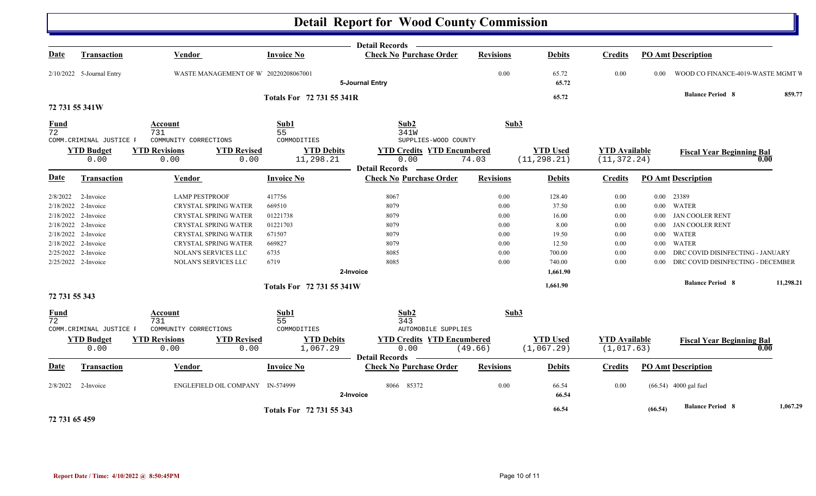|                                |                           |                              |                                                             | <b>Detail Records</b>                                              |                  |                                 |                                      |          |                                   |           |
|--------------------------------|---------------------------|------------------------------|-------------------------------------------------------------|--------------------------------------------------------------------|------------------|---------------------------------|--------------------------------------|----------|-----------------------------------|-----------|
| <b>Date</b>                    | <b>Transaction</b>        | <b>Vendor</b>                | <b>Invoice No</b>                                           | <b>Check No Purchase Order</b>                                     | <b>Revisions</b> | <b>Debits</b>                   | <b>Credits</b>                       |          | <b>PO Amt Description</b>         |           |
|                                | 2/10/2022 5-Journal Entry |                              | WASTE MANAGEMENT OF W 20220208067001                        | 5-Journal Entry                                                    | $0.00\,$         | 65.72<br>65.72                  | $0.00\,$                             | 0.00     | WOOD CO FINANCE-4019-WASTE MGMT V |           |
|                                |                           |                              | Totals For 72 731 55 341R                                   |                                                                    |                  | 65.72                           |                                      |          | <b>Balance Period 8</b>           | 859.77    |
| 72 731 55 341W                 |                           |                              |                                                             |                                                                    |                  |                                 |                                      |          |                                   |           |
| <b>Fund</b><br>$\overline{72}$ |                           | Account<br>731               | Sub1<br>55                                                  | Sub2<br>341W                                                       | Sub3             |                                 |                                      |          |                                   |           |
|                                | COMM. CRIMINAL JUSTICE F  | COMMUNITY CORRECTIONS        | COMMODITIES                                                 | SUPPLIES-WOOD COUNTY                                               |                  |                                 |                                      |          |                                   |           |
|                                | <b>YTD Budget</b><br>0.00 | <b>YTD Revisions</b><br>0.00 | <b>YTD Revised</b><br><b>YTD Debits</b><br>11,298.21        | <b>YTD Credits YTD Encumbered</b><br>0.00                          | 74.03            | <b>YTD Used</b><br>(11, 298.21) | <b>YTD</b> Available<br>(11, 372.24) |          | <b>Fiscal Year Beginning Bal</b>  | 0.00      |
|                                |                           |                              | 0.00                                                        | <b>Detail Records</b>                                              |                  |                                 |                                      |          |                                   |           |
| <b>Date</b>                    | <b>Transaction</b>        | Vendor                       | <b>Invoice No</b>                                           | <b>Check No Purchase Order</b>                                     | <b>Revisions</b> | <b>Debits</b>                   | <b>Credits</b>                       |          | <b>PO Amt Description</b>         |           |
| 2/8/2022                       | 2-Invoice                 | <b>LAMP PESTPROOF</b>        | 417756                                                      | 8067                                                               | 0.00             | 128.40                          | 0.00                                 |          | 0.00 23389                        |           |
|                                | 2/18/2022 2-Invoice       | CRYSTAL SPRING WATER         | 669510                                                      | 8079                                                               | 0.00             | 37.50                           | 0.00                                 |          | 0.00 WATER                        |           |
|                                | 2/18/2022 2-Invoice       | <b>CRYSTAL SPRING WATER</b>  | 01221738                                                    | 8079                                                               | 0.00             | 16.00                           | 0.00                                 |          | 0.00 JAN COOLER RENT              |           |
|                                | 2/18/2022 2-Invoice       | CRYSTAL SPRING WATER         | 01221703                                                    | 8079                                                               | 0.00             | 8.00                            | 0.00                                 | $0.00\,$ | <b>JAN COOLER RENT</b>            |           |
|                                | 2/18/2022 2-Invoice       | CRYSTAL SPRING WATER         | 671507                                                      | 8079                                                               | 0.00             | 19.50                           | $0.00\,$                             | $0.00\,$ | WATER                             |           |
|                                | 2/18/2022 2-Invoice       | CRYSTAL SPRING WATER         | 669827                                                      | 8079                                                               | 0.00             | 12.50                           | 0.00                                 | $0.00\,$ | WATER                             |           |
|                                | 2/25/2022 2-Invoice       | NOLAN'S SERVICES LLC         | 6735                                                        | 8085                                                               | 0.00             | 700.00                          | 0.00                                 | 0.00     | DRC COVID DISINFECTING - JANUARY  |           |
|                                | 2/25/2022 2-Invoice       | NOLAN'S SERVICES LLC         | 6719                                                        | 8085                                                               | 0.00             | 740.00                          | 0.00                                 | 0.00     | DRC COVID DISINFECTING - DECEMBER |           |
|                                |                           |                              |                                                             | 2-Invoice                                                          |                  | 1,661.90                        |                                      |          |                                   |           |
|                                |                           |                              | Totals For 72 731 55 341W                                   |                                                                    |                  | 1,661.90                        |                                      |          | <b>Balance Period 8</b>           | 11,298.21 |
| 72 731 55 343                  |                           |                              |                                                             |                                                                    |                  |                                 |                                      |          |                                   |           |
| $\frac{Fund}{72}$              |                           | Account<br>731               | Sub1<br>55                                                  | Sub2<br>343                                                        | Sub3             |                                 |                                      |          |                                   |           |
|                                | COMM. CRIMINAL JUSTICE F  | COMMUNITY CORRECTIONS        | COMMODITIES                                                 | <b>AUTOMOBILE SUPPLIES</b>                                         |                  |                                 |                                      |          |                                   |           |
|                                | <b>YTD Budget</b><br>0.00 | <b>YTD Revisions</b><br>0.00 | <b>YTD Revised</b><br><b>YTD Debits</b><br>1,067.29<br>0.00 | <b>YTD Credits YTD Encumbered</b><br>0.00<br><b>Detail Records</b> | (49.66)          | <b>YTD Used</b><br>(1,067.29)   | <b>YTD</b> Available<br>(1,017.63)   |          | <b>Fiscal Year Beginning Bal</b>  | 0.00      |
| <b>Date</b>                    | Transaction               | Vendor                       | <b>Invoice No</b>                                           | <b>Check No Purchase Order</b>                                     | <b>Revisions</b> | <b>Debits</b>                   | <b>Credits</b>                       |          | <b>PO Amt Description</b>         |           |
| 2/8/2022                       | 2-Invoice                 |                              | ENGLEFIELD OIL COMPANY IN-574999                            | 8066 85372<br>2-Invoice                                            | 0.00             | 66.54<br>66.54                  | 0.00                                 |          | $(66.54)$ 4000 gal fuel           |           |
| 72 731 65 459                  |                           |                              | Totals For 72 731 55 343                                    |                                                                    |                  | 66.54                           |                                      | (66.54)  | <b>Balance Period 8</b>           | 1,067.29  |